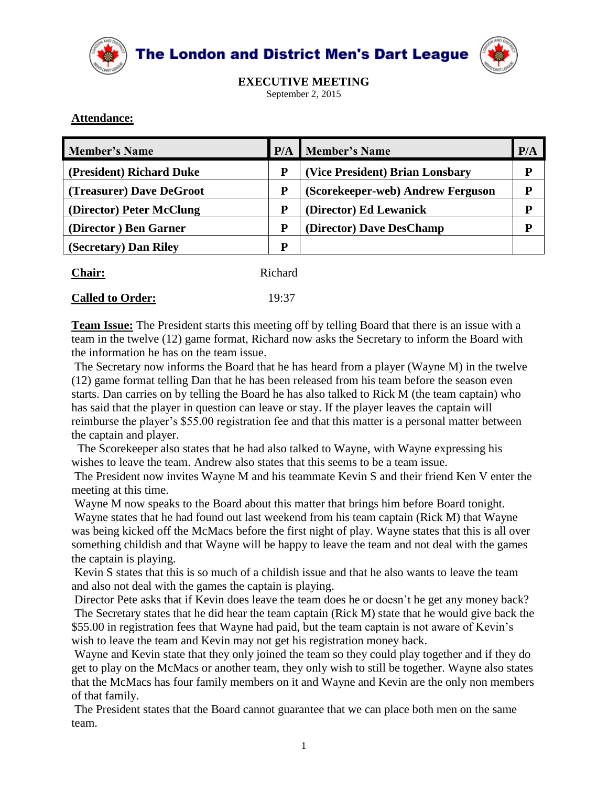



**EXECUTIVE MEETING** September 2, 2015

## **Attendance:**

| <b>Member's Name</b>     |   | <b>P/A</b> Member's Name          | P/A |
|--------------------------|---|-----------------------------------|-----|
| (President) Richard Duke | P | (Vice President) Brian Lonsbary   | D   |
| (Treasurer) Dave DeGroot | P | (Scorekeeper-web) Andrew Ferguson | D   |
| (Director) Peter McClung | P | (Director) Ed Lewanick            | D   |
| (Director) Ben Garner    | P | (Director) Dave DesChamp          | D   |
| (Secretary) Dan Riley    | P |                                   |     |

| <b>Chair:</b>           | Richard |
|-------------------------|---------|
| <b>Called to Order:</b> | 19:37   |

**Team Issue:** The President starts this meeting off by telling Board that there is an issue with a team in the twelve (12) game format, Richard now asks the Secretary to inform the Board with the information he has on the team issue.

The Secretary now informs the Board that he has heard from a player (Wayne M) in the twelve (12) game format telling Dan that he has been released from his team before the season even starts. Dan carries on by telling the Board he has also talked to Rick M (the team captain) who has said that the player in question can leave or stay. If the player leaves the captain will reimburse the player's \$55.00 registration fee and that this matter is a personal matter between the captain and player.

 The Scorekeeper also states that he had also talked to Wayne, with Wayne expressing his wishes to leave the team. Andrew also states that this seems to be a team issue.

The President now invites Wayne M and his teammate Kevin S and their friend Ken V enter the meeting at this time.

Wayne M now speaks to the Board about this matter that brings him before Board tonight.

Wayne states that he had found out last weekend from his team captain (Rick M) that Wayne was being kicked off the McMacs before the first night of play. Wayne states that this is all over something childish and that Wayne will be happy to leave the team and not deal with the games the captain is playing.

Kevin S states that this is so much of a childish issue and that he also wants to leave the team and also not deal with the games the captain is playing.

Director Pete asks that if Kevin does leave the team does he or doesn't he get any money back? The Secretary states that he did hear the team captain (Rick M) state that he would give back the \$55.00 in registration fees that Wayne had paid, but the team captain is not aware of Kevin's wish to leave the team and Kevin may not get his registration money back.

Wayne and Kevin state that they only joined the team so they could play together and if they do get to play on the McMacs or another team, they only wish to still be together. Wayne also states that the McMacs has four family members on it and Wayne and Kevin are the only non members of that family.

The President states that the Board cannot guarantee that we can place both men on the same team.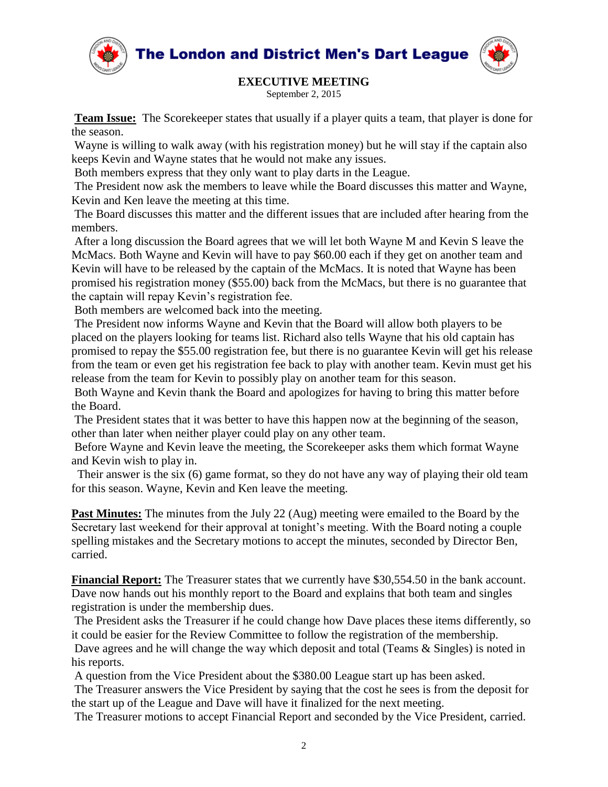



## **EXECUTIVE MEETING**

September 2, 2015

**Team Issue:** The Scorekeeper states that usually if a player quits a team, that player is done for the season.

Wayne is willing to walk away (with his registration money) but he will stay if the captain also keeps Kevin and Wayne states that he would not make any issues.

Both members express that they only want to play darts in the League.

The President now ask the members to leave while the Board discusses this matter and Wayne, Kevin and Ken leave the meeting at this time.

The Board discusses this matter and the different issues that are included after hearing from the members.

After a long discussion the Board agrees that we will let both Wayne M and Kevin S leave the McMacs. Both Wayne and Kevin will have to pay \$60.00 each if they get on another team and Kevin will have to be released by the captain of the McMacs. It is noted that Wayne has been promised his registration money (\$55.00) back from the McMacs, but there is no guarantee that the captain will repay Kevin's registration fee.

Both members are welcomed back into the meeting.

The President now informs Wayne and Kevin that the Board will allow both players to be placed on the players looking for teams list. Richard also tells Wayne that his old captain has promised to repay the \$55.00 registration fee, but there is no guarantee Kevin will get his release from the team or even get his registration fee back to play with another team. Kevin must get his release from the team for Kevin to possibly play on another team for this season.

Both Wayne and Kevin thank the Board and apologizes for having to bring this matter before the Board.

The President states that it was better to have this happen now at the beginning of the season, other than later when neither player could play on any other team.

Before Wayne and Kevin leave the meeting, the Scorekeeper asks them which format Wayne and Kevin wish to play in.

 Their answer is the six (6) game format, so they do not have any way of playing their old team for this season. Wayne, Kevin and Ken leave the meeting.

**Past Minutes:** The minutes from the July 22 (Aug) meeting were emailed to the Board by the Secretary last weekend for their approval at tonight's meeting. With the Board noting a couple spelling mistakes and the Secretary motions to accept the minutes, seconded by Director Ben, carried.

**Financial Report:** The Treasurer states that we currently have \$30,554.50 in the bank account. Dave now hands out his monthly report to the Board and explains that both team and singles registration is under the membership dues.

The President asks the Treasurer if he could change how Dave places these items differently, so it could be easier for the Review Committee to follow the registration of the membership.

Dave agrees and he will change the way which deposit and total (Teams & Singles) is noted in his reports.

A question from the Vice President about the \$380.00 League start up has been asked.

The Treasurer answers the Vice President by saying that the cost he sees is from the deposit for the start up of the League and Dave will have it finalized for the next meeting.

The Treasurer motions to accept Financial Report and seconded by the Vice President, carried.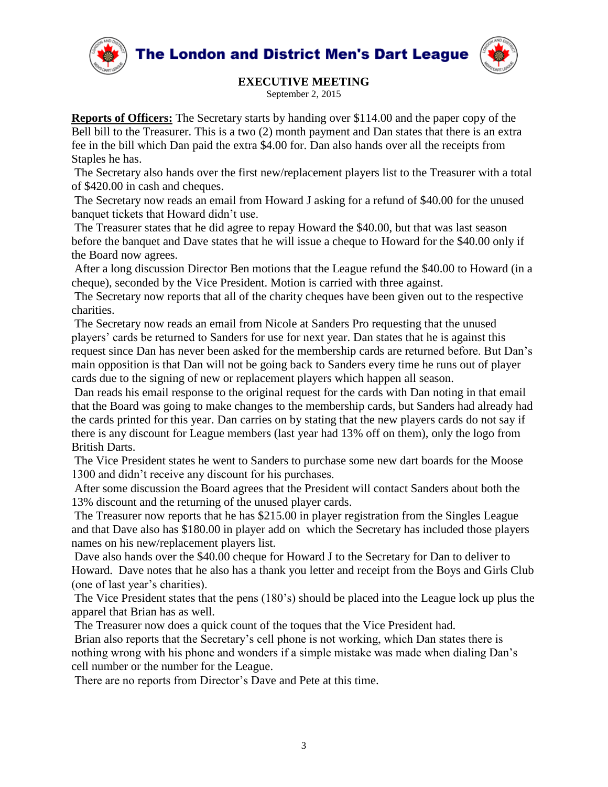



## **EXECUTIVE MEETING**

September 2, 2015

**Reports of Officers:** The Secretary starts by handing over \$114.00 and the paper copy of the Bell bill to the Treasurer. This is a two (2) month payment and Dan states that there is an extra fee in the bill which Dan paid the extra \$4.00 for. Dan also hands over all the receipts from Staples he has.

The Secretary also hands over the first new/replacement players list to the Treasurer with a total of \$420.00 in cash and cheques.

The Secretary now reads an email from Howard J asking for a refund of \$40.00 for the unused banquet tickets that Howard didn't use.

The Treasurer states that he did agree to repay Howard the \$40.00, but that was last season before the banquet and Dave states that he will issue a cheque to Howard for the \$40.00 only if the Board now agrees.

After a long discussion Director Ben motions that the League refund the \$40.00 to Howard (in a cheque), seconded by the Vice President. Motion is carried with three against.

The Secretary now reports that all of the charity cheques have been given out to the respective charities.

The Secretary now reads an email from Nicole at Sanders Pro requesting that the unused players' cards be returned to Sanders for use for next year. Dan states that he is against this request since Dan has never been asked for the membership cards are returned before. But Dan's main opposition is that Dan will not be going back to Sanders every time he runs out of player cards due to the signing of new or replacement players which happen all season.

Dan reads his email response to the original request for the cards with Dan noting in that email that the Board was going to make changes to the membership cards, but Sanders had already had the cards printed for this year. Dan carries on by stating that the new players cards do not say if there is any discount for League members (last year had 13% off on them), only the logo from British Darts.

The Vice President states he went to Sanders to purchase some new dart boards for the Moose 1300 and didn't receive any discount for his purchases.

After some discussion the Board agrees that the President will contact Sanders about both the 13% discount and the returning of the unused player cards.

The Treasurer now reports that he has \$215.00 in player registration from the Singles League and that Dave also has \$180.00 in player add on which the Secretary has included those players names on his new/replacement players list.

Dave also hands over the \$40.00 cheque for Howard J to the Secretary for Dan to deliver to Howard. Dave notes that he also has a thank you letter and receipt from the Boys and Girls Club (one of last year's charities).

The Vice President states that the pens (180's) should be placed into the League lock up plus the apparel that Brian has as well.

The Treasurer now does a quick count of the toques that the Vice President had.

Brian also reports that the Secretary's cell phone is not working, which Dan states there is nothing wrong with his phone and wonders if a simple mistake was made when dialing Dan's cell number or the number for the League.

There are no reports from Director's Dave and Pete at this time.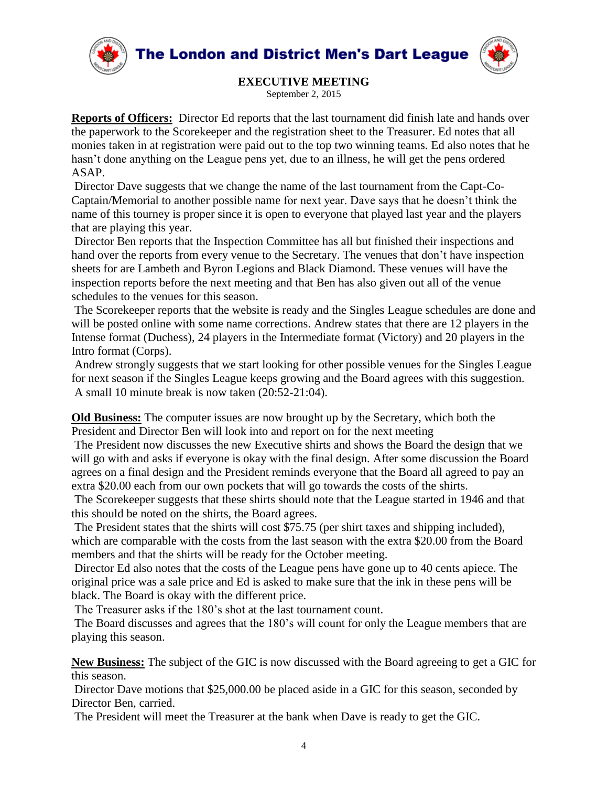



**EXECUTIVE MEETING**

September 2, 2015

**Reports of Officers:** Director Ed reports that the last tournament did finish late and hands over the paperwork to the Scorekeeper and the registration sheet to the Treasurer. Ed notes that all monies taken in at registration were paid out to the top two winning teams. Ed also notes that he hasn't done anything on the League pens yet, due to an illness, he will get the pens ordered ASAP.

Director Dave suggests that we change the name of the last tournament from the Capt-Co-Captain/Memorial to another possible name for next year. Dave says that he doesn't think the name of this tourney is proper since it is open to everyone that played last year and the players that are playing this year.

Director Ben reports that the Inspection Committee has all but finished their inspections and hand over the reports from every venue to the Secretary. The venues that don't have inspection sheets for are Lambeth and Byron Legions and Black Diamond. These venues will have the inspection reports before the next meeting and that Ben has also given out all of the venue schedules to the venues for this season.

The Scorekeeper reports that the website is ready and the Singles League schedules are done and will be posted online with some name corrections. Andrew states that there are 12 players in the Intense format (Duchess), 24 players in the Intermediate format (Victory) and 20 players in the Intro format (Corps).

Andrew strongly suggests that we start looking for other possible venues for the Singles League for next season if the Singles League keeps growing and the Board agrees with this suggestion. A small 10 minute break is now taken (20:52-21:04).

**Old Business:** The computer issues are now brought up by the Secretary, which both the President and Director Ben will look into and report on for the next meeting

The President now discusses the new Executive shirts and shows the Board the design that we will go with and asks if everyone is okay with the final design. After some discussion the Board agrees on a final design and the President reminds everyone that the Board all agreed to pay an extra \$20.00 each from our own pockets that will go towards the costs of the shirts.

The Scorekeeper suggests that these shirts should note that the League started in 1946 and that this should be noted on the shirts, the Board agrees.

The President states that the shirts will cost \$75.75 (per shirt taxes and shipping included), which are comparable with the costs from the last season with the extra \$20.00 from the Board members and that the shirts will be ready for the October meeting.

Director Ed also notes that the costs of the League pens have gone up to 40 cents apiece. The original price was a sale price and Ed is asked to make sure that the ink in these pens will be black. The Board is okay with the different price.

The Treasurer asks if the 180's shot at the last tournament count.

The Board discusses and agrees that the 180's will count for only the League members that are playing this season.

**New Business:** The subject of the GIC is now discussed with the Board agreeing to get a GIC for this season.

Director Dave motions that \$25,000.00 be placed aside in a GIC for this season, seconded by Director Ben, carried.

The President will meet the Treasurer at the bank when Dave is ready to get the GIC.